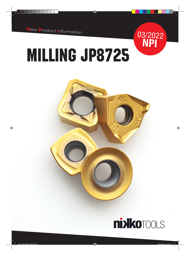



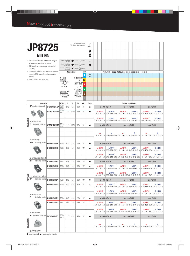|                                                      | <b>JP8725</b>                                                                                                                                          |                       |                                                  |                                                                                                                                                          | HF: micrograin carbide<br>PVD: phisical vapour deposition |                                                                                                  | HF<br><b>PVD</b> |                  |                                                                  |                                 |          |                                                                                                                                             |                |                |  |  |  |  |  |  |  |
|------------------------------------------------------|--------------------------------------------------------------------------------------------------------------------------------------------------------|-----------------------|--------------------------------------------------|----------------------------------------------------------------------------------------------------------------------------------------------------------|-----------------------------------------------------------|--------------------------------------------------------------------------------------------------|------------------|------------------|------------------------------------------------------------------|---------------------------------|----------|---------------------------------------------------------------------------------------------------------------------------------------------|----------------|----------------|--|--|--|--|--|--|--|
|                                                      | <b>MILLING</b>                                                                                                                                         |                       |                                                  |                                                                                                                                                          |                                                           |                                                                                                  | <b>JP8725</b>    |                  |                                                                  |                                 |          |                                                                                                                                             |                |                |  |  |  |  |  |  |  |
|                                                      | New carbide substrate with higher stability and great<br>performance on general steel application.<br>Reliable performance even on high hardness steel |                       |                                                  | Stable machining,<br>light cut<br>$1st$ choice $\bigcirc$ suitable<br>General machining,<br>1st choice ( ) suitable<br>medium cut<br>Unstable machining, |                                                           |                                                                                                  |                  |                  |                                                                  |                                 |          |                                                                                                                                             |                |                |  |  |  |  |  |  |  |
|                                                      | $(< 50$ HRC)<br>Latest coating technology contribute to a performance<br>increase by 30% compared to previous generation                               |                       |                                                  | heavy cut                                                                                                                                                | <b>Dimensions</b>                                         | $\leftarrow$ 1 <sup>st</sup> choice $\left\{\begin{matrix} 1 \\ 2 \end{matrix}\right\}$ suitable | <b>ISO</b><br>P  | 80               | $Vc(m/min)$ - suggested cutting speed range (bold: $1st$ choice) |                                 |          |                                                                                                                                             |                |                |  |  |  |  |  |  |  |
| products.<br>Yellow color helps wear identification. |                                                                                                                                                        |                       | <b>BS</b><br><b>RADIUS</b><br>CLEARANCE<br>ANGLE | AN                                                                                                                                                       | S                                                         | D <sub>1</sub><br><b>THICKNESS</b><br>AND HOLE<br><b>INSCRIBED</b><br><b>CIRCLE</b>              | M<br>S           | 280              |                                                                  |                                 |          |                                                                                                                                             |                |                |  |  |  |  |  |  |  |
|                                                      | <b>Designation</b>                                                                                                                                     |                       | <b>RE/BS</b>                                     | IC                                                                                                                                                       | s                                                         | D1                                                                                               | AN               | <b>Stock</b>     |                                                                  |                                 |          | <b>Cutting conditions</b>                                                                                                                   |                |                |  |  |  |  |  |  |  |
|                                                      | GP shouldering, double side                                                                                                                            | NT-DRK10R08K-GP       | RE 0.8<br><b>BS 0.9</b>                          | 5.82                                                                                                                                                     | 5.45                                                      | 2.90                                                                                             | $0^{\circ}$      | $\bullet$        |                                                                  | $ae = 40 \div 100\%$ DC         |          | $ae = 10 \div 40\%$ DC                                                                                                                      | $ae < 10\%$ DC |                |  |  |  |  |  |  |  |
|                                                      |                                                                                                                                                        | NT-DRK17R08K-GP       | RE 0.8<br><b>BS 3.2</b>                          | 11.20                                                                                                                                                    | 10.94                                                     | 5.20                                                                                             | $0^{\circ}$      | $\bullet$        | ap DRK10                                                         | fz DRK10                        | ap DRK10 | fz DRK10<br>1.00 - 2.50 - 4.00 $ 0.08 - 0.12 $ 1.00 - 4.00 - 7.00 $ 0.10 - 0.13 - 0.16 $ 1.00 - 4.00 - 7.00 $ 0.12 - 0.16 - 0.20 $          | ap DRK10       | fz DRK10       |  |  |  |  |  |  |  |
| <b>DOUBLEREK</b>                                     | general purpose                                                                                                                                        |                       |                                                  |                                                                                                                                                          |                                                           |                                                                                                  |                  |                  | ap DRK17                                                         | fz DRK17                        | ap DRK17 | fz DRK17<br>1.00 - 4.00 - 7.00 $ 0.10 - 0.13 - 0.16 $ 1.00 - 8.00 - 15.00 $ 0.12 - 0.16 - 0.20 $ 1.00 - 8.00 - 15.00 $ 0.16 - 0.20 - 0.24 $ | ap DRK17       | fz DRK17       |  |  |  |  |  |  |  |
|                                                      | TE shouldering, double side                                                                                                                            | NT-DRK17R12K-TE       | RE 1.2<br><b>BS 2.9</b>                          | 11.20                                                                                                                                                    | 10.94                                                     | 5.20                                                                                             | $0^{\circ}$      | $\bullet$        |                                                                  | $ae = 40 \div 100\%$ DC         |          | $ae = 10 \div 40\%$ DC                                                                                                                      |                | $ae < 10\%$ DC |  |  |  |  |  |  |  |
|                                                      | reiforced edge                                                                                                                                         |                       |                                                  |                                                                                                                                                          |                                                           |                                                                                                  |                  |                  | ap                                                               | fz                              | ap       | fz<br>$1.00 - 4.00 - 7.00$ $0.14 - 0.17 - 0.20$ $1.00 - 8.00 - 15.0$ $0.16 - 0.20 - 0.24$ $1.00 - 8.00 - 15.00$ $0.20 - 0.25 - 0.30$        | ap             | fz             |  |  |  |  |  |  |  |
|                                                      | HGP<br>shouldering, positive                                                                                                                           | NT-RKP11R08M-HGP      | <b>RE 0.8</b>                                    | 6.35                                                                                                                                                     | 3.50                                                      | 2.80                                                                                             | $11^{\circ}$     | $\bullet$        |                                                                  | $ae = 40 \div 100\%$ DC         |          | $ae = 10 \div 40\%$ DC                                                                                                                      |                | $ae < 10\%$ DC |  |  |  |  |  |  |  |
|                                                      |                                                                                                                                                        | NT-RKP16R08M-HGP      | <b>RE 0.8</b>                                    | 9.53                                                                                                                                                     | 4.76                                                      | 4.50                                                                                             | $11^{\circ}$     | ▲                | ap RKP11                                                         | fz RKP11                        | ap RKP11 | fz RKP11<br>1.00 - 2.50 - 4.00 0.06 - 0.09 - 0.12 1.00 - 4.50 - 8.00 0.08 - 0.11 - 0.14 1.00 - 4.50 - 8.00 0.10 - 0.15 - 0.20               | ap RKP11       | fz RKP11       |  |  |  |  |  |  |  |
|                                                      | general purpose, helical                                                                                                                               |                       |                                                  |                                                                                                                                                          |                                                           |                                                                                                  |                  |                  | ap RKP16                                                         | fz RKP16                        | ap RKP16 | fz RKP16<br>$1.00 - 4.00 - 7.00$ $0.10 - 0.13 - 0.16$ $1.00 - 8.00 - 15.00$ $0.12 - 0.16 - 0.20$ $1.00 - 8.00 - 15.00$ $0.16 - 0.20 - 0.24$ | ap RKP16       | fz RKP16       |  |  |  |  |  |  |  |
|                                                      | <b>HSC</b><br>shouldering, positive                                                                                                                    | NT-RKP11R08M-HSC      | <b>RE0.8</b>                                     | 6.35                                                                                                                                                     | 3.50                                                      | 2.80                                                                                             | $11^{\circ}$     |                  |                                                                  | $ae = 40 \div 100\%$ DC         |          | $ae = 10 \div 40\%$ DC                                                                                                                      |                | $ae < 10\%$ DC |  |  |  |  |  |  |  |
|                                                      |                                                                                                                                                        | NT-RKP16R08M-HSC      | RE 0.8                                           | 9.53                                                                                                                                                     | 4.76                                                      | 4.50                                                                                             | $11^{\circ}$     | ▲                | ap RKP11                                                         | fz RKP11                        | ap RKP11 | fz RKP11<br>1.00 - 2.50 - 4.00 $0.04 - 0.07 - 0.10$ 1.00 - 4.50 - 8.00 0.06 - 0.09 - 0.12 1.00 - 4.50 - 8.00 0.08 - 0.12 - 0.16             | ap RKP11       | fz RKP11       |  |  |  |  |  |  |  |
| <b>REKPLUS</b>                                       | low cutting force, helical                                                                                                                             |                       |                                                  |                                                                                                                                                          |                                                           |                                                                                                  |                  |                  | ap RKP16                                                         | fz RKP16                        | ap RKP16 | fz RKP16<br>$1.00 - 4.00 - 7.00$ $0.06 - 0.10 - 0.14$ $1.00 - 8.00 - 15.00$ $0.10 - 0.13 - 0.16$ $1.00 - 8.00 - 15.00$ $0.12 - 0.15 - 0.18$ | ap RKP16       | fz RKP16       |  |  |  |  |  |  |  |
|                                                      | GP<br>shouldering, positive                                                                                                                            | NT-RKP11R08M-GP       | RE 0.8                                           | 6.35                                                                                                                                                     | 3.50                                                      | 2.80                                                                                             | $11^{\circ}$     | $\bullet$        |                                                                  | $ae = 40 \div 100\%$ DC         |          | $ae = 10 \div 40\%$ DC                                                                                                                      |                | $ae < 10\%$ DC |  |  |  |  |  |  |  |
|                                                      |                                                                                                                                                        | NT-RKP16R08M-GP       | RE 0.8                                           | 9.53                                                                                                                                                     | 4.76                                                      | 4.50                                                                                             | $11^{\circ}$     | ▲                | ap RKP11                                                         | fz RKP11                        | ap RKP11 | fz RKP11<br>1.00 - 2.50 - 4.00 $ 0.06 - 0.09 - 0.12 $ 1.00 - 4.50 - 8.00 $ 0.08 - 0.11 - 0.14 $ 1.00 - 4.50 - 8.00 $ 0.10 - 0.15 - 0.20 $   | ap RKP11       | fz RKP11       |  |  |  |  |  |  |  |
|                                                      | general purpose                                                                                                                                        |                       |                                                  |                                                                                                                                                          |                                                           |                                                                                                  |                  |                  | ap RKP16                                                         | fz RKP16                        | ap RKP16 | fz RKP16<br>1.00 - 4.00 - 7.00 0.10 - 0.13 - 0.16 1.00 - 8.00 - 15.00 0.12 - 0.16 - 0.20 1.00 - 8.00 - 15.00 0.16 - 0.20 - 0.24             | ap RKP16       | fz RKP16       |  |  |  |  |  |  |  |
|                                                      | <b>TE</b><br>shouldering, positive                                                                                                                     | NT-RKP11R08M-TE       | RE 0.8                                           | 6.35                                                                                                                                                     | 3.50                                                      | 2.80                                                                                             | $11^{\circ}$     | $\blacktriangle$ |                                                                  | $ae = 40 \div 100\%$ DC         |          | $ae = 10 \div 40\%$ DC                                                                                                                      |                | $ae < 10\%$ DC |  |  |  |  |  |  |  |
|                                                      |                                                                                                                                                        | NT-RKP16R08M-TE       | RE 0.8                                           | 9.53                                                                                                                                                     | 4.76                                                      | 4.50                                                                                             | $11^{\circ}$     | ▲                | ap RKP11                                                         | fz RKP11                        | ap RKP11 | fz RKP11<br>1.00 - 2.50 - 4.00 $0.12 - 0.11 - 0.14$ 1.00 - 4.50 - 8.00 0.10 - 0.14 - 0.18 1.00 - 4.50 - 8.00 0.12 - 0.17 - 0.22             | ap RKP11       | fz RKP11       |  |  |  |  |  |  |  |
|                                                      | reinforced edge                                                                                                                                        |                       |                                                  |                                                                                                                                                          |                                                           |                                                                                                  |                  |                  | ap RKP16                                                         | fz RKP16                        | ap RKP16 | fz RKP16<br>$1.00 - 4.00 - 7.00$ $0.12 - 0.15 - 0.18$ $1.00 - 8.00 - 15.00$ $0.14 - 0.18 - 0.22$ $1.00 - 8.00 - 15.00$ $0.18 - 0.23 - 0.28$ | ap RKP16       | fz RKP16       |  |  |  |  |  |  |  |
|                                                      | <b>GP</b> shouldering, double side                                                                                                                     | <b>WNEX080608R-GP</b> | RE 0.8<br><b>BS 1.5</b>                          | 12.70                                                                                                                                                    | 6.45                                                      | 4.70                                                                                             | $0^{\circ}$      | $\bullet$        |                                                                  | $ae = 40 \div 100\% \text{ DC}$ |          | $ae = 10 \div 40\% \text{ DC}$                                                                                                              |                | $ae < 10\%$ DC |  |  |  |  |  |  |  |
| DOUBLE3GON                                           |                                                                                                                                                        |                       |                                                  |                                                                                                                                                          |                                                           |                                                                                                  |                  |                  | ap                                                               | fz                              | ap       | fz<br>1.00 - 2.50 - 4.00 $ 0.08 - 0.12 - 0.16 $ 1.00 - 4.00 - 7.00 0.10 - 0.15 - 0.20 1.00 - 4.00 - 7.00 0.12 - 0.18 - 0.24                 | ap             | fz             |  |  |  |  |  |  |  |
|                                                      | general purpose                                                                                                                                        |                       |                                                  |                                                                                                                                                          |                                                           |                                                                                                  |                  |                  |                                                                  |                                 |          |                                                                                                                                             |                |                |  |  |  |  |  |  |  |

 $\bullet$  stock standard,  $\blacktriangle$  upcoming introduction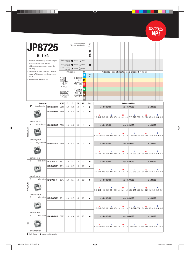

| <b>JP8725</b><br><b>MILLING</b>                                                                                                                                         | HF: micrograin carbide<br>PVD: phisical vapour deposition                                                                                                                                                                                           | HF<br><b>PVD</b><br>25<br><b>LBS</b> |  |                                                                          |  |  |  |  |  |  |
|-------------------------------------------------------------------------------------------------------------------------------------------------------------------------|-----------------------------------------------------------------------------------------------------------------------------------------------------------------------------------------------------------------------------------------------------|--------------------------------------|--|--------------------------------------------------------------------------|--|--|--|--|--|--|
| New carbide substrate with higher stability and great<br>performance on general steel application.<br>Reliable performance even on high hardness steel<br>$(< 50$ HRC). | Stable machining,<br>light cut<br>$1st choice$ suitable<br>General machining,<br>medium cut<br>$\bigcirc$ 1 <sup>st</sup> choice $\bigcirc$ suitable<br>Unstable machining,<br>heavy cut<br>$\bigoplus$ 1 <sup>st</sup> choice $\bigoplus$ Suitable | ∩<br>$\bullet$                       |  |                                                                          |  |  |  |  |  |  |
| Latest coating technology contribute to a performance<br>increase by 30% compared to previous generation<br>products.<br>Yellow color helps wear identification.        | <b>ISO</b><br><b>Dimensions</b><br>S<br>D1<br>∖BE<br><b>THICKNESS</b><br>AND HOLE<br><b>BS</b><br><b>RADIUS</b><br>$\mathbb{N}$ - $\mathbb{N}$ and<br><b>INSCRIBED</b><br><b>CLEARANCE</b><br><b>CIRCLE</b><br>ANGLE                                | 80<br>280                            |  | Vc(m/min) - suggested cutting speed range (bold: 1 <sup>st</sup> choice) |  |  |  |  |  |  |

| <b>Designation</b> |           |                                          | <b>RE/BS</b>    | IC            | S            | D <sub>1</sub> | ΑN   | <b>Stock</b> | <b>Cutting conditions</b> |                         |    |    |                                |                                                                                                                                     |                |  |  |  |  |
|--------------------|-----------|------------------------------------------|-----------------|---------------|--------------|----------------|------|--------------|---------------------------|-------------------------|----|----|--------------------------------|-------------------------------------------------------------------------------------------------------------------------------------|----------------|--|--|--|--|
|                    | <b>GP</b> | facing, double side                      | SNEX1205ANEN-GP | <b>BS 1.6</b> | 12.70        | 6.35           | 5.90 | $0^{\circ}$  |                           | $ae = 40 \div 100\%$ DC |    |    | $ae = 10 \div 40\% \text{ DC}$ |                                                                                                                                     | $ae < 10\%$ DC |  |  |  |  |
|                    |           |                                          | SNMX1205ANEN-GP | BS 1.6        | 12.70        | 6.35           | 5.90 | $0^{\circ}$  | $\bullet$                 | $f_{Z}$<br>ap           |    | ap | $f_{Z}$                        | ap                                                                                                                                  | fz             |  |  |  |  |
|                    |           | general purpose                          |                 |               |              |                |      |              |                           |                         |    |    |                                | 1.00 - 2.00 - 3.00 0.14 - 0.20 - 0.26 1.00 - 2.00 - 3.00 0.16 - 0.23 - 0.30 1.00 - 2.00 - 3.00 0.20 - 0.30 - 0.40                   |                |  |  |  |  |
|                    | SC        | facing, double side                      | SNEX1205ANEN-SC | BS 1.6 12.70  |              | 6.35           | 5.90 | $0^{\circ}$  | ▲                         | $ae = 40 \div 100\%$ DC |    |    | $ae = 10 \div 40\%$ DC         |                                                                                                                                     | $ae < 10\%$ DC |  |  |  |  |
| <b>DOUBLE4FACE</b> |           |                                          |                 |               |              |                |      |              |                           | ap                      | fz | ap | fz                             | ap<br>$0.50 - 1.50 - 2.50$ $0.10 - 0.14 - 0.18$ $0.50 - 1.50 - 2.50$ $0.12 - 0.17 - 0.22$ $0.50 - 1.50 - 2.50$ $0.14 - 0.20 - 0.26$ | fz             |  |  |  |  |
|                    | <b>TE</b> | low cutting force<br>facing, double side |                 |               |              |                |      |              |                           |                         |    |    |                                |                                                                                                                                     |                |  |  |  |  |
|                    |           |                                          | SNMX1205ANSN-TE | BS 1.6 12.70  |              | 6.35           | 5.90 | $0^{\circ}$  | $\blacktriangle$          | $ae = 40 \div 100\%$ DC |    |    | $ae = 10 \div 40\%$ DC         |                                                                                                                                     | $ae < 10\%$ DC |  |  |  |  |
|                    |           |                                          |                 |               |              |                |      |              |                           | ap                      | fz | ap | fz                             | Ap<br>1.00 - 2.00 - 3.00 0.20 - 0.25 - 0.30 1.00 - 2.00 - 3.00 0.24 - 0.30 - 0.36 1.00 - 2.00 - 3.00 0.28 - 0.36 - 0.44             | fz             |  |  |  |  |
|                    | GP        | reinforced edge<br>facing, positive      |                 |               |              |                |      |              |                           |                         |    |    |                                |                                                                                                                                     |                |  |  |  |  |
|                    |           |                                          | SEET13T3AGEN-GP |               | BS 1.2 13.40 | 3.97           | 4.40 | $20^{\circ}$ | $\bullet$                 | $ae = 40 \div 100\%$ DC |    |    | $ae = 10 \div 40\%$ DC         |                                                                                                                                     | $ae < 10\%$ DC |  |  |  |  |
|                    |           |                                          | SEMT13T3AGEN-GP |               | BS 1.2 13.40 | 3.97           | 4.40 | $20^{\circ}$ | ▲                         | ap                      | fz | ap | fz                             | ap<br>1.00 - 3.00 - 5.00 0.08 - 0.16 - 0.24 1.00 - 3.00 - 5.00 0.10 - 0.20 - 0.30 1.00 - 3.00 - 5.00 0.12 - 0.24 - 0.36             | fz             |  |  |  |  |
|                    |           | general purpose                          |                 |               |              |                |      |              |                           |                         |    |    |                                |                                                                                                                                     |                |  |  |  |  |
|                    | SC        | facing, positive                         | SEET13T3AGEN-SC |               | BS 1.7 13.40 | 3.97           | 4.40 | $20^{\circ}$ | $\bullet$                 | $ae = 40 \div 100\%$ DC |    |    | $ae = 10 \div 40\%$ DC         |                                                                                                                                     | $ae < 10\%$ DC |  |  |  |  |
| 4FACEPLUS          |           | low cutting force                        |                 |               |              |                |      |              |                           | ap                      | fz | ap | fz                             | ap<br>$0.50 - 2.50 - 4.50$ $0.06 - 0.11 - 0.16$ $0.50 - 2.50 - 4.50$ $0.08 - 0.14 - 0.20$ $0.50 - 2.50 - 4.50$ $0.10 - 0.17 - 0.24$ | fz             |  |  |  |  |
|                    | TE        | facing, positive                         | SEMT13T3AGSN-TE |               | BS 1.2 13.40 | 3.97           | 4.40 | $20^{\circ}$ | ▲                         | $ae = 40 \div 100\%$ DC |    |    | $ae = 10 \div 40\%$ DC         |                                                                                                                                     | $ae < 10\%$ DC |  |  |  |  |
|                    |           | reinforced edge                          |                 |               |              |                |      |              |                           | ap                      | fz | ap | fz                             | ap<br>1.00 - 3.00 - 5.00 0.12 - 0.15 - 0.28 1.00 - 3.00 - 5.00 0.14 - 0.24 - 0.34 1.00 - 3.00 - 5.00 0.18 - 0.30 - 0.42             | fz             |  |  |  |  |
|                    | SC        | facing, positive                         | SEHX1204AFEN-SC | BS 2.5 12.70  |              | 4.76           | 5.50 | $20^{\circ}$ |                           | $ae = 40 \div 100\%$ DC |    |    | $ae = 10 \div 40\%$ DC         |                                                                                                                                     | $ae < 10\%$ DC |  |  |  |  |
| SO <sub>1</sub>    |           | low cutting force                        |                 |               |              |                |      |              |                           | ap                      | fz | ap | fz                             | ap<br>$0.50 - 2.50 - 4.50$ $0.06 - 0.11 - 0.16$ $0.50 - 2.50 - 4.50$ $0.08 - 0.14 - 0.20$ $0.50 - 2.50 - 4.50$ $0.10 - 0.17 - 0.24$ | fz             |  |  |  |  |

 $\bullet$  stock standard,  $\blacktriangle$  upcoming introduction